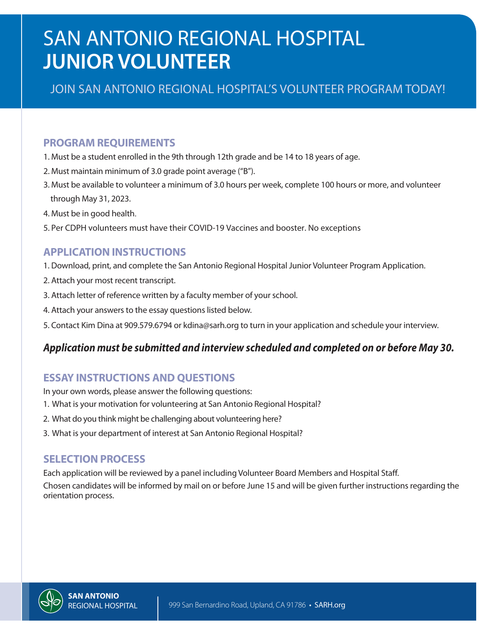# SAN ANTONIO REGIONAL HOSPITAL **JUNIOR VOLUNTEER**

#### JOIN SAN ANTONIO REGIONAL HOSPITAL'S VOLUNTEER PROGRAM TODAY!

#### **PROGRAM REQUIREMENTS**

- 1. Must be a student enrolled in the 9th through 12th grade and be 14 to 18 years of age.
- 2. Must maintain minimum of 3.0 grade point average ("B").
- 3. Must be available to volunteer a minimum of 3.0 hours per week, complete 100 hours or more, and volunteer through May 31, 2023.
- 4. Must be in good health.
- 5. Per CDPH volunteers must have their COVID-19 Vaccines and booster. No exceptions

#### **APPLICATION INSTRUCTIONS**

- 1. Download, print, and complete the San Antonio Regional Hospital Junior Volunteer Program Application.
- 2. Attach your most recent transcript.
- 3. Attach letter of reference written by a faculty member of your school.
- 4. Attach your answers to the essay questions listed below.
- 5. Contact Kim Dina at 909.579.6794 or kdina@sarh.org to turn in your application and schedule your interview.

#### *Application must be submitted and interview scheduled and completed on or before May 30.*

#### **ESSAY INSTRUCTIONS AND QUESTIONS**

In your own words, please answer the following questions:

- 1. What is your motivation for volunteering at San Antonio Regional Hospital?
- 2. What do you think might be challenging about volunteering here?
- 3. What is your department of interest at San Antonio Regional Hospital?

#### **SELECTION PROCESS**

Each application will be reviewed by a panel including Volunteer Board Members and Hospital Staff.

Chosen candidates will be informed by mail on or before June 15 and will be given further instructions regarding the orientation process.